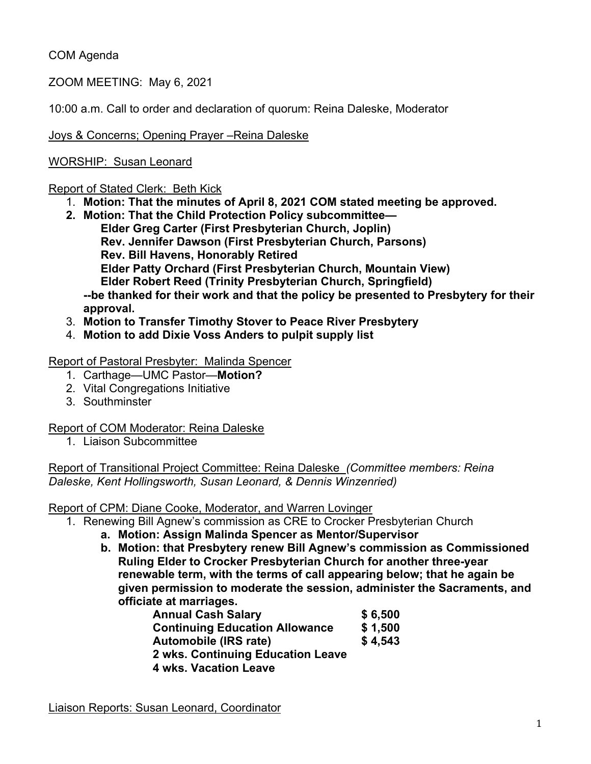# COM Agenda

ZOOM MEETING: May 6, 2021

10:00 a.m. Call to order and declaration of quorum: Reina Daleske, Moderator

Joys & Concerns; Opening Prayer –Reina Daleske

# WORSHIP: Susan Leonard

#### Report of Stated Clerk: Beth Kick

- 1. **Motion: That the minutes of April 8, 2021 COM stated meeting be approved.**
- **2. Motion: That the Child Protection Policy subcommittee— Elder Greg Carter (First Presbyterian Church, Joplin) Rev. Jennifer Dawson (First Presbyterian Church, Parsons) Rev. Bill Havens, Honorably Retired Elder Patty Orchard (First Presbyterian Church, Mountain View) Elder Robert Reed (Trinity Presbyterian Church, Springfield) --be thanked for their work and that the policy be presented to Presbytery for their approval.**
- 3. **Motion to Transfer Timothy Stover to Peace River Presbytery**
- 4. **Motion to add Dixie Voss Anders to pulpit supply list**

## Report of Pastoral Presbyter: Malinda Spencer

- 1. Carthage—UMC Pastor—**Motion?**
- 2. Vital Congregations Initiative
- 3. Southminster

## Report of COM Moderator: Reina Daleske

1. Liaison Subcommittee

Report of Transitional Project Committee: Reina Daleske *(Committee members: Reina Daleske, Kent Hollingsworth, Susan Leonard, & Dennis Winzenried)*

## Report of CPM: Diane Cooke, Moderator, and Warren Lovinger

1. Renewing Bill Agnew's commission as CRE to Crocker Presbyterian Church

- **a. Motion: Assign Malinda Spencer as Mentor/Supervisor**
- **b. Motion: that Presbytery renew Bill Agnew's commission as Commissioned Ruling Elder to Crocker Presbyterian Church for another three-year renewable term, with the terms of call appearing below; that he again be given permission to moderate the session, administer the Sacraments, and officiate at marriages.**

| <b>Annual Cash Salary</b>             | \$6,500 |
|---------------------------------------|---------|
| <b>Continuing Education Allowance</b> | \$1,500 |
| Automobile (IRS rate)                 | \$4,543 |
| 2 wks. Continuing Education Leave     |         |
| <b>4 wks. Vacation Leave</b>          |         |

Liaison Reports: Susan Leonard, Coordinator